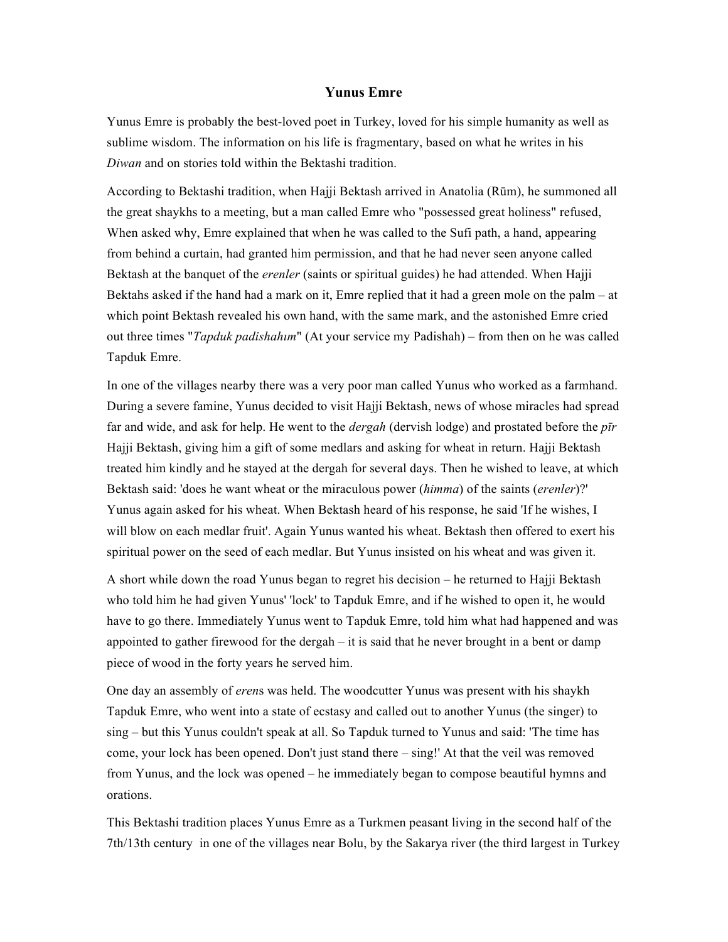## **Yunus Emre**

Yunus Emre is probably the best-loved poet in Turkey, loved for his simple humanity as well as sublime wisdom. The information on his life is fragmentary, based on what he writes in his *Diwan* and on stories told within the Bektashi tradition.

According to Bektashi tradition, when Hajji Bektash arrived in Anatolia (Rūm), he summoned all the great shaykhs to a meeting, but a man called Emre who "possessed great holiness" refused, When asked why, Emre explained that when he was called to the Sufi path, a hand, appearing from behind a curtain, had granted him permission, and that he had never seen anyone called Bektash at the banquet of the *erenler* (saints or spiritual guides) he had attended. When Hajji Bektahs asked if the hand had a mark on it, Emre replied that it had a green mole on the palm – at which point Bektash revealed his own hand, with the same mark, and the astonished Emre cried out three times "*Tapduk padishahım*" (At your service my Padishah) – from then on he was called Tapduk Emre.

In one of the villages nearby there was a very poor man called Yunus who worked as a farmhand. During a severe famine, Yunus decided to visit Hajji Bektash, news of whose miracles had spread far and wide, and ask for help. He went to the *dergah* (dervish lodge) and prostated before the *pīr* Hajji Bektash, giving him a gift of some medlars and asking for wheat in return. Hajji Bektash treated him kindly and he stayed at the dergah for several days. Then he wished to leave, at which Bektash said: 'does he want wheat or the miraculous power (*himma*) of the saints (*erenler*)?' Yunus again asked for his wheat. When Bektash heard of his response, he said 'If he wishes, I will blow on each medlar fruit'. Again Yunus wanted his wheat. Bektash then offered to exert his spiritual power on the seed of each medlar. But Yunus insisted on his wheat and was given it.

A short while down the road Yunus began to regret his decision – he returned to Hajji Bektash who told him he had given Yunus' 'lock' to Tapduk Emre, and if he wished to open it, he would have to go there. Immediately Yunus went to Tapduk Emre, told him what had happened and was appointed to gather firewood for the dergah – it is said that he never brought in a bent or damp piece of wood in the forty years he served him.

One day an assembly of *eren*s was held. The woodcutter Yunus was present with his shaykh Tapduk Emre, who went into a state of ecstasy and called out to another Yunus (the singer) to sing – but this Yunus couldn't speak at all. So Tapduk turned to Yunus and said: 'The time has come, your lock has been opened. Don't just stand there – sing!' At that the veil was removed from Yunus, and the lock was opened – he immediately began to compose beautiful hymns and orations.

This Bektashi tradition places Yunus Emre as a Turkmen peasant living in the second half of the 7th/13th century in one of the villages near Bolu, by the Sakarya river (the third largest in Turkey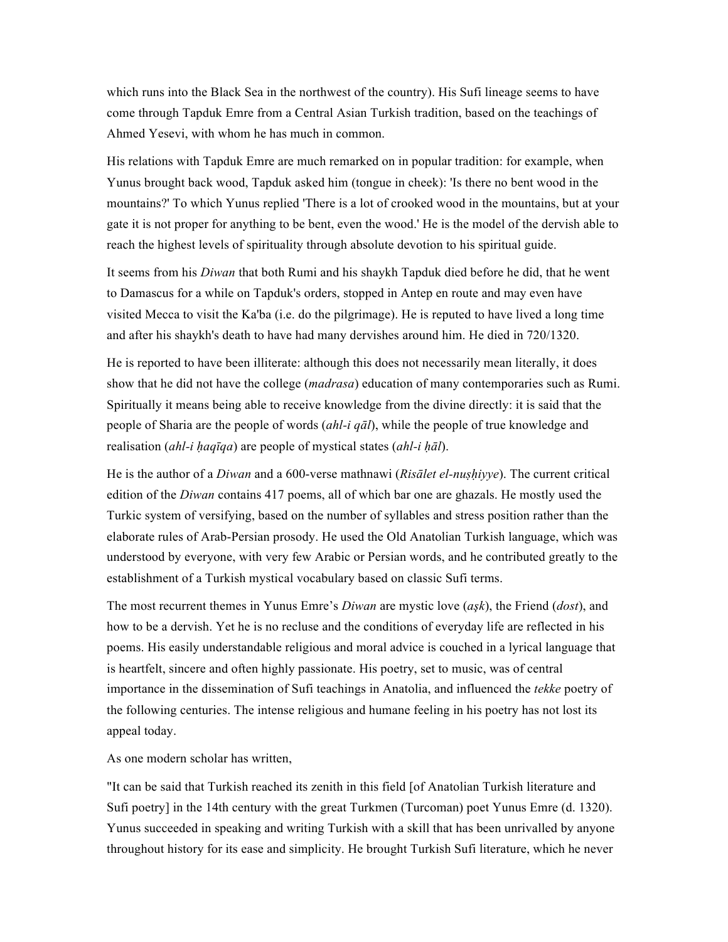which runs into the Black Sea in the northwest of the country). His Sufi lineage seems to have come through Tapduk Emre from a Central Asian Turkish tradition, based on the teachings of Ahmed Yesevi, with whom he has much in common.

His relations with Tapduk Emre are much remarked on in popular tradition: for example, when Yunus brought back wood, Tapduk asked him (tongue in cheek): 'Is there no bent wood in the mountains?' To which Yunus replied 'There is a lot of crooked wood in the mountains, but at your gate it is not proper for anything to be bent, even the wood.' He is the model of the dervish able to reach the highest levels of spirituality through absolute devotion to his spiritual guide.

It seems from his *Diwan* that both Rumi and his shaykh Tapduk died before he did, that he went to Damascus for a while on Tapduk's orders, stopped in Antep en route and may even have visited Mecca to visit the Ka'ba (i.e. do the pilgrimage). He is reputed to have lived a long time and after his shaykh's death to have had many dervishes around him. He died in 720/1320.

He is reported to have been illiterate: although this does not necessarily mean literally, it does show that he did not have the college (*madrasa*) education of many contemporaries such as Rumi. Spiritually it means being able to receive knowledge from the divine directly: it is said that the people of Sharia are the people of words (*ahl-i qāl*), while the people of true knowledge and realisation (*ahl-i ḥaqīqa*) are people of mystical states (*ahl-i ḥāl*).

He is the author of a *Diwan* and a 600-verse mathnawi (*Risālet el-nuṣḥiyye*). The current critical edition of the *Diwan* contains 417 poems, all of which bar one are ghazals. He mostly used the Turkic system of versifying, based on the number of syllables and stress position rather than the elaborate rules of Arab-Persian prosody. He used the Old Anatolian Turkish language, which was understood by everyone, with very few Arabic or Persian words, and he contributed greatly to the establishment of a Turkish mystical vocabulary based on classic Sufi terms.

The most recurrent themes in Yunus Emre's *Diwan* are mystic love (*aşk*), the Friend (*dost*), and how to be a dervish. Yet he is no recluse and the conditions of everyday life are reflected in his poems. His easily understandable religious and moral advice is couched in a lyrical language that is heartfelt, sincere and often highly passionate. His poetry, set to music, was of central importance in the dissemination of Sufi teachings in Anatolia, and influenced the *tekke* poetry of the following centuries. The intense religious and humane feeling in his poetry has not lost its appeal today.

As one modern scholar has written,

"It can be said that Turkish reached its zenith in this field [of Anatolian Turkish literature and Sufi poetry] in the 14th century with the great Turkmen (Turcoman) poet Yunus Emre (d. 1320). Yunus succeeded in speaking and writing Turkish with a skill that has been unrivalled by anyone throughout history for its ease and simplicity. He brought Turkish Sufi literature, which he never